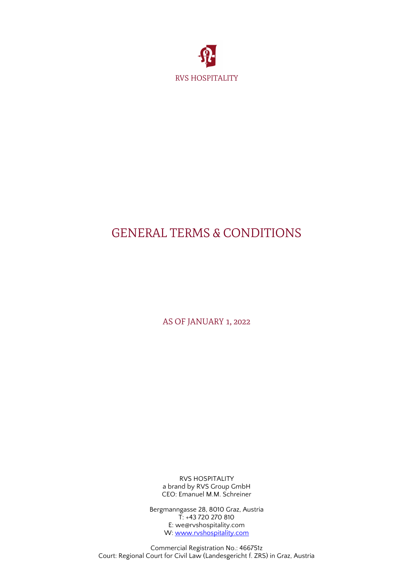

# GENERAL TERMS & CONDITIONS

AS OF JANUARY 1, 2022

RVS HOSPITALITY a brand by RVS Group GmbH CEO: Emanuel M.M. Schreiner

Bergmanngasse 28, 8010 Graz, Austria T: +43 720 270 810 E: we@rvshospitality.com W: [www.rvshospitality.com](http://www.rvshospitality.com/)

Commercial Registration No.: 466751z Court: Regional Court for Civil Law (Landesgericht f. ZRS) in Graz, Austria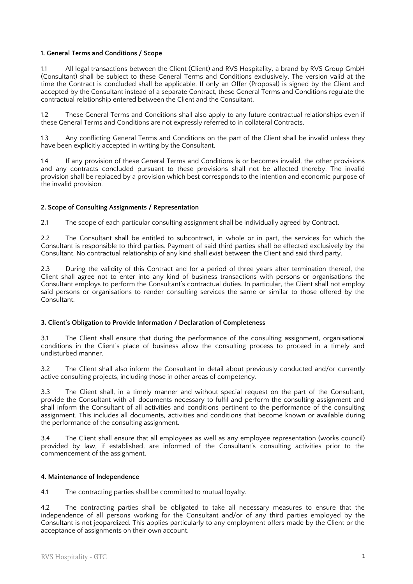# **1. General Terms and Conditions / Scope**

1.1 All legal transactions between the Client (Client) and RVS Hospitality, a brand by RVS Group GmbH (Consultant) shall be subject to these General Terms and Conditions exclusively. The version valid at the time the Contract is concluded shall be applicable. If only an Offer (Proposal) is signed by the Client and accepted by the Consultant instead of a separate Contract, these General Terms and Conditions regulate the contractual relationship entered between the Client and the Consultant.

1.2 These General Terms and Conditions shall also apply to any future contractual relationships even if these General Terms and Conditions are not expressly referred to in collateral Contracts.

1.3 Any conficting General Terms and Conditions on the part of the Client shall be invalid unless they have been explicitly accepted in writing by the Consultant.

1.4 If any provision of these General Terms and Conditions is or becomes invalid, the other provisions and any contracts concluded pursuant to these provisions shall not be affected thereby. The invalid provision shall be replaced by a provision which best corresponds to the intention and economic purpose of the invalid provision.

## **2. Scope of Consulting Assignments / Representation**

2.1 The scope of each particular consulting assignment shall be individually agreed by Contract.

2.2 The Consultant shall be entitled to subcontract, in whole or in part, the services for which the Consultant is responsible to third parties. Payment of said third parties shall be effected exclusively by the Consultant. No contractual relationship of any kind shall exist between the Client and said third party.

2.3 During the validity of this Contract and for a period of three years after termination thereof, the Client shall agree not to enter into any kind of business transactions with persons or organisations the Consultant employs to perform the Consultant's contractual duties. In particular, the Client shall not employ said persons or organisations to render consulting services the same or similar to those offered by the Consultant.

#### **3. Client's Obligation to Provide Information / Declaration of Completeness**

The Client shall ensure that during the performance of the consulting assignment, organisational conditions in the Client's place of business allow the consulting process to proceed in a timely and undisturbed manner.

3.2 The Client shall also inform the Consultant in detail about previously conducted and/or currently active consulting projects, including those in other areas of competency.

3.3 The Client shall, in a timely manner and without special request on the part of the Consultant, provide the Consultant with all documents necessary to fulfil and perform the consulting assignment and shall inform the Consultant of all activities and conditions pertinent to the performance of the consulting assignment. This includes all documents, activities and conditions that become known or available during the performance of the consulting assignment.

3.4 The Client shall ensure that all employees as well as any employee representation (works council) provided by law, if established, are informed of the Consultant's consulting activities prior to the commencement of the assignment.

#### **4. Maintenance of Independence**

4.1 The contracting parties shall be committed to mutual loyalty.

4.2 The contracting parties shall be obligated to take all necessary measures to ensure that the independence of all persons working for the Consultant and/or of any third parties employed by the Consultant is not jeopardized. This applies particularly to any employment offers made by the Client or the acceptance of assignments on their own account.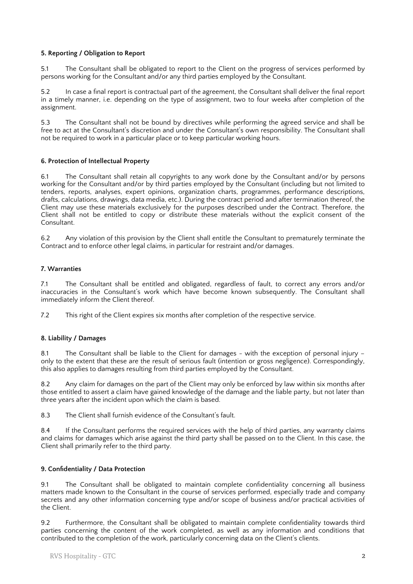# **5. Reporting / Obligation to Report**

5.1 The Consultant shall be obligated to report to the Client on the progress of services performed by persons working for the Consultant and/or any third parties employed by the Consultant.

In case a final report is contractual part of the agreement, the Consultant shall deliver the final report in a timely manner, i.e. depending on the type of assignment, two to four weeks after completion of the assignment.

5.3 The Consultant shall not be bound by directives while performing the agreed service and shall be free to act at the Consultant's discretion and under the Consultant's own responsibility. The Consultant shall not be required to work in a particular place or to keep particular working hours.

## **6. Protection of Intellectual Property**

6.1 The Consultant shall retain all copyrights to any work done by the Consultant and/or by persons working for the Consultant and/or by third parties employed by the Consultant (including but not limited to tenders, reports, analyses, expert opinions, organization charts, programmes, performance descriptions, drafts, calculations, drawings, data media, etc.). During the contract period and after termination thereof, the Client may use these materials exclusively for the purposes described under the Contract. Therefore, the Client shall not be entitled to copy or distribute these materials without the explicit consent of the Consultant.

6.2 Any violation of this provision by the Client shall entitle the Consultant to prematurely terminate the Contract and to enforce other legal claims, in particular for restraint and/or damages.

## **7. Warranties**

7.1 The Consultant shall be entitled and obligated, regardless of fault, to correct any errors and/or inaccuracies in the Consultant's work which have become known subsequently. The Consultant shall immediately inform the Client thereof.

7.2 This right of the Client expires six months after completion of the respective service.

# **8. Liability / Damages**

8.1 The Consultant shall be liable to the Client for damages - with the exception of personal injury – only to the extent that these are the result of serious fault (intention or gross negligence). Correspondingly, this also applies to damages resulting from third parties employed by the Consultant.

8.2 Any claim for damages on the part of the Client may only be enforced by law within six months after those entitled to assert a claim have gained knowledge of the damage and the liable party, but not later than three years after the incident upon which the claim is based.

8.3 The Client shall furnish evidence of the Consultant's fault.

8.4 If the Consultant performs the required services with the help of third parties, any warranty claims and claims for damages which arise against the third party shall be passed on to the Client. In this case, the Client shall primarily refer to the third party.

# **9. Confdentiality / Data Protection**

9.1 The Consultant shall be obligated to maintain complete confdentiality concerning all business matters made known to the Consultant in the course of services performed, especially trade and company secrets and any other information concerning type and/or scope of business and/or practical activities of the Client.

9.2 Furthermore, the Consultant shall be obligated to maintain complete confdentiality towards third parties concerning the content of the work completed, as well as any information and conditions that contributed to the completion of the work, particularly concerning data on the Client's clients.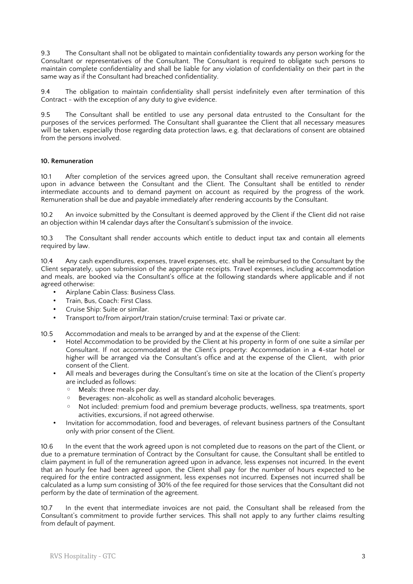9.3 The Consultant shall not be obligated to maintain confdentiality towards any person working for the Consultant or representatives of the Consultant. The Consultant is required to obligate such persons to maintain complete confdentiality and shall be liable for any violation of confdentiality on their part in the same way as if the Consultant had breached confdentiality.

9.4 The obligation to maintain confdentiality shall persist indefnitely even after termination of this Contract - with the exception of any duty to give evidence.

9.5 The Consultant shall be entitled to use any personal data entrusted to the Consultant for the purposes of the services performed. The Consultant shall guarantee the Client that all necessary measures will be taken, especially those regarding data protection laws, e.g. that declarations of consent are obtained from the persons involved.

## **10. Remuneration**

10.1 After completion of the services agreed upon, the Consultant shall receive remuneration agreed upon in advance between the Consultant and the Client. The Consultant shall be entitled to render intermediate accounts and to demand payment on account as required by the progress of the work. Remuneration shall be due and payable immediately after rendering accounts by the Consultant.

10.2 An invoice submitted by the Consultant is deemed approved by the Client if the Client did not raise an objection within 14 calendar days after the Consultant's submission of the invoice.

10.3 The Consultant shall render accounts which entitle to deduct input tax and contain all elements required by law.

10.4 Any cash expenditures, expenses, travel expenses, etc. shall be reimbursed to the Consultant by the Client separately, upon submission of the appropriate receipts. Travel expenses, including accommodation and meals, are booked via the Consultant's offce at the following standards where applicable and if not agreed otherwise:

- Airplane Cabin Class: Business Class.
- Train, Bus, Coach: First Class.
- Cruise Ship: Suite or similar.
- Transport to/from airport/train station/cruise terminal: Taxi or private car.

10.5 Accommodation and meals to be arranged by and at the expense of the Client:

- Hotel Accommodation to be provided by the Client at his property in form of one suite a similar per Consultant. If not accommodated at the Client's property: Accommodation in a 4-star hotel or higher will be arranged via the Consultant's office and at the expense of the Client, with prior consent of the Client.
- All meals and beverages during the Consultant's time on site at the location of the Client's property are included as follows:
	- Meals: three meals per day.
	- Beverages: non-alcoholic as well as standard alcoholic beverages.
	- Not included: premium food and premium beverage products, wellness, spa treatments, sport activities, excursions, if not agreed otherwise.
- Invitation for accommodation, food and beverages, of relevant business partners of the Consultant only with prior consent of the Client.

10.6 In the event that the work agreed upon is not completed due to reasons on the part of the Client, or due to a premature termination of Contract by the Consultant for cause, the Consultant shall be entitled to claim payment in full of the remuneration agreed upon in advance, less expenses not incurred. In the event that an hourly fee had been agreed upon, the Client shall pay for the number of hours expected to be required for the entire contracted assignment, less expenses not incurred. Expenses not incurred shall be calculated as a lump sum consisting of 30% of the fee required for those services that the Consultant did not perform by the date of termination of the agreement.

10.7 In the event that intermediate invoices are not paid, the Consultant shall be released from the Consultant's commitment to provide further services. This shall not apply to any further claims resulting from default of payment.